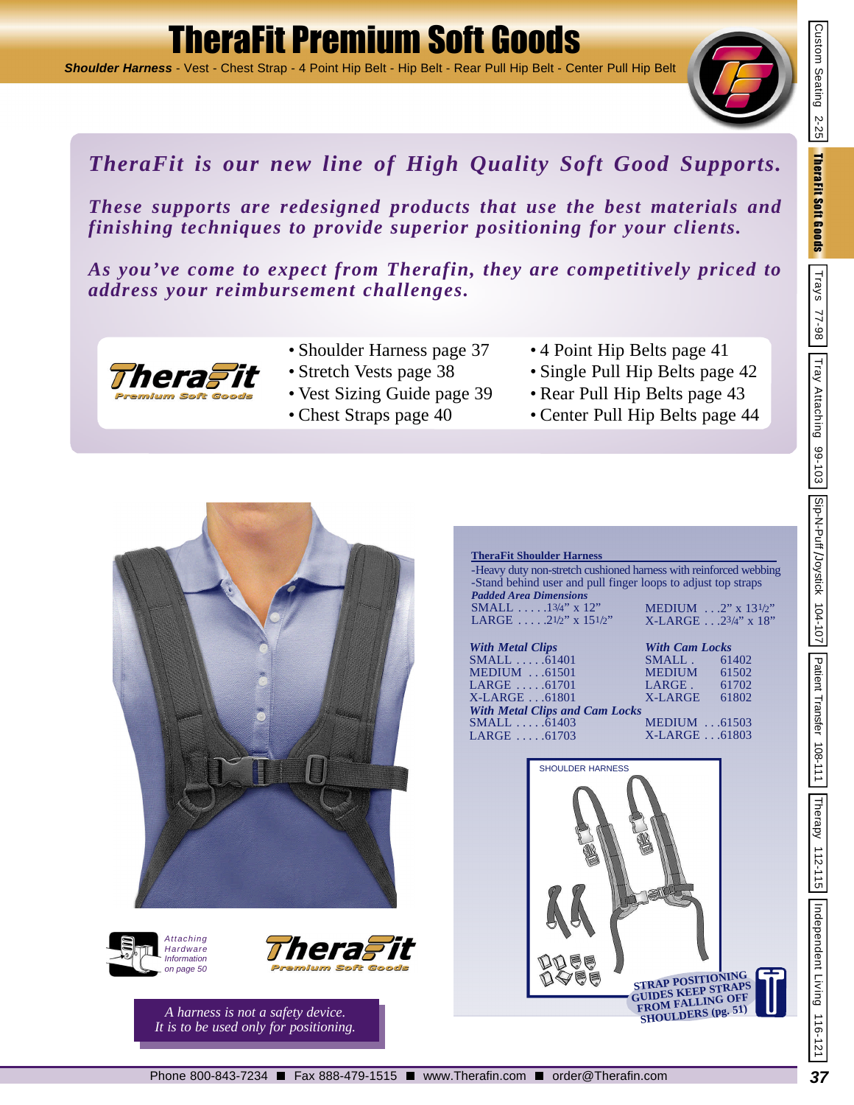# TheraFit Premium Soft Goods

*Shoulder Harness* - Vest - Chest Strap - 4 Point Hip Belt - Hip Belt - Rear Pull Hip Belt - Center Pull Hip Belt



Custom Seating 2-25

**TheraFit Soft Goods**  $\begin{array}{|l|} \hline \textbf{Trays} & \textbf{77-98} \\ \hline \end{array}$ 

## *TheraFit is our new line of High Quality Soft Good Supports.*

*These supports are redesigned products that use the best materials and finishing techniques to provide superior positioning for your clients.*

*As you've come to expect from Therafin, they are competitively priced to address your reimbursement challenges.*



- Shoulder Harness page 37
- Stretch Vests page 38
- Vest Sizing Guide page 39
- Chest Straps page 40
- 4 Point Hip Belts page 41
- Single Pull Hip Belts page 42
- Rear Pull Hip Belts page 43
- Center Pull Hip Belts page 44







*A harness is not a safety device. It is to be used only for positioning.*

|                                                                                                            | <b>TheraFit Shoulder Harness</b>                                                                                                                                                                    |                                                  |                                                                |  |  |  |
|------------------------------------------------------------------------------------------------------------|-----------------------------------------------------------------------------------------------------------------------------------------------------------------------------------------------------|--------------------------------------------------|----------------------------------------------------------------|--|--|--|
|                                                                                                            | -Heavy duty non-stretch cushioned harness with reinforced webbing<br>-Stand behind user and pull finger loops to adjust top straps<br><b>Padded Area Dimensions</b><br><b>SMALL</b> $.13/4$ " x 12" |                                                  | MEDIUM $\ldots$ 2" x 13 $1/2$ "                                |  |  |  |
| LARGE $\ldots$ 2 <sup>1</sup> /2" x 15 <sup>1</sup> /2"<br><b>With Metal Clips</b><br>$SMAIL \dots .61401$ |                                                                                                                                                                                                     |                                                  | $X-LARGE$ 23/4" x 18"<br><b>With Cam Locks</b><br>SMALL. 61402 |  |  |  |
| <b>MEDIUM</b> 61501<br>$LARGE \dots .61701$<br>$X-LARGE$ 61801                                             |                                                                                                                                                                                                     | $MEDIUM$ 61502<br>LARGE $61702$<br>X-LARGE 61802 |                                                                |  |  |  |
| $SMALL$ $61403$<br>$LARGE \dots .61703$                                                                    | <b>With Metal Clips and Cam Locks</b>                                                                                                                                                               | $MEDIUM$ 61503<br>X-LARGE 61803                  |                                                                |  |  |  |
|                                                                                                            | <b>SHOULDER HARNESS</b>                                                                                                                                                                             |                                                  |                                                                |  |  |  |



Independent Living 116-121

Trays 77-98 | Tray Attaching 99-103 | Sip-N-Puff 104-107 | Patient Transfer 108-111 | Therapy 112-115

Patient Transfer 108-111

Therapy 112-115

Custom Seating 117-25 Therafit Soft Benden | Trays 77-86 | Trays 12-102 | Traysit / Putf /Joystick 104-107 | Theraph Independent Living 117-12-25 | Trays 77-28 | Trays 77-28 | Trays 77-28 | Trays 77-28 | Trays 77-28 | Tray

Tray Attaching 99-103 Sip-N-Puff /Joystick 104-107